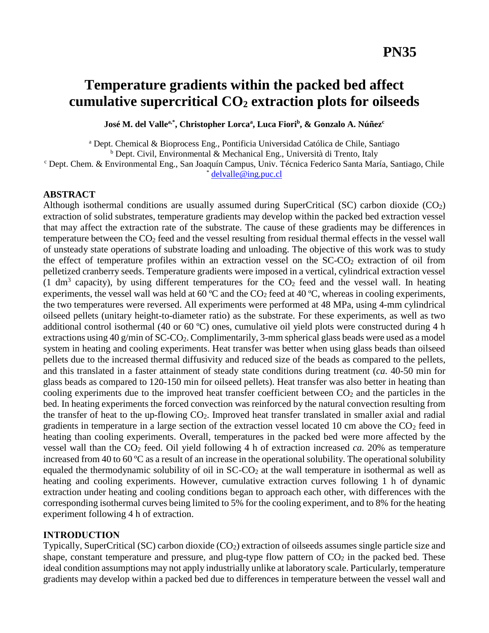# **Temperature gradients within the packed bed affect cumulative supercritical CO<sup>2</sup> extraction plots for oilseeds**

**José M. del Vallea,\* , Christopher Lorca<sup>a</sup> , Luca Fiori<sup>b</sup> , & Gonzalo A. Núñez<sup>c</sup>**

<sup>a</sup> Dept. Chemical & Bioprocess Eng., Pontificia Universidad Católica de Chile, Santiago

<sup>b</sup> Dept. Civil, Environmental & Mechanical Eng., Università di Trento, Italy

<sup>c</sup> Dept. Chem. & Environmental Eng., San Joaquín Campus, Univ. Técnica Federico Santa María, Santiago, Chile  $delvalue@ing.nuc$ .cl

#### **ABSTRACT**

Although isothermal conditions are usually assumed during SuperCritical (SC) carbon dioxide  $(CO<sub>2</sub>)$ extraction of solid substrates, temperature gradients may develop within the packed bed extraction vessel that may affect the extraction rate of the substrate. The cause of these gradients may be differences in temperature between the CO<sup>2</sup> feed and the vessel resulting from residual thermal effects in the vessel wall of unsteady state operations of substrate loading and unloading. The objective of this work was to study the effect of temperature profiles within an extraction vessel on the  $SC\text{-}CO<sub>2</sub>$  extraction of oil from pelletized cranberry seeds. Temperature gradients were imposed in a vertical, cylindrical extraction vessel (1 dm<sup>3</sup> capacity), by using different temperatures for the  $CO<sub>2</sub>$  feed and the vessel wall. In heating experiments, the vessel wall was held at 60  $^{\circ}$ C and the CO<sub>2</sub> feed at 40  $^{\circ}$ C, whereas in cooling experiments, the two temperatures were reversed. All experiments were performed at 48 MPa, using 4-mm cylindrical oilseed pellets (unitary height-to-diameter ratio) as the substrate. For these experiments, as well as two additional control isothermal (40 or 60 ºC) ones, cumulative oil yield plots were constructed during 4 h extractions using 40 g/min of  $SC\text{-}CO_2$ . Complimentarily, 3-mm spherical glass beads were used as a model system in heating and cooling experiments. Heat transfer was better when using glass beads than oilseed pellets due to the increased thermal diffusivity and reduced size of the beads as compared to the pellets, and this translated in a faster attainment of steady state conditions during treatment (*ca.* 40-50 min for glass beads as compared to 120-150 min for oilseed pellets). Heat transfer was also better in heating than cooling experiments due to the improved heat transfer coefficient between  $CO<sub>2</sub>$  and the particles in the bed. In heating experiments the forced convection was reinforced by the natural convection resulting from the transfer of heat to the up-flowing  $CO<sub>2</sub>$ . Improved heat transfer translated in smaller axial and radial gradients in temperature in a large section of the extraction vessel located 10 cm above the  $CO<sub>2</sub>$  feed in heating than cooling experiments. Overall, temperatures in the packed bed were more affected by the vessel wall than the CO<sup>2</sup> feed. Oil yield following 4 h of extraction increased *ca.* 20% as temperature increased from 40 to 60 ºC as a result of an increase in the operational solubility. The operational solubility equaled the thermodynamic solubility of oil in SC-CO<sub>2</sub> at the wall temperature in isothermal as well as heating and cooling experiments. However, cumulative extraction curves following 1 h of dynamic extraction under heating and cooling conditions began to approach each other, with differences with the corresponding isothermal curves being limited to 5% for the cooling experiment, and to 8% for the heating experiment following 4 h of extraction.

#### **INTRODUCTION**

Typically, SuperCritical (SC) carbon dioxide (CO2) extraction of oilseeds assumes single particle size and shape, constant temperature and pressure, and plug-type flow pattern of  $CO<sub>2</sub>$  in the packed bed. These ideal condition assumptions may not apply industrially unlike at laboratory scale. Particularly, temperature gradients may develop within a packed bed due to differences in temperature between the vessel wall and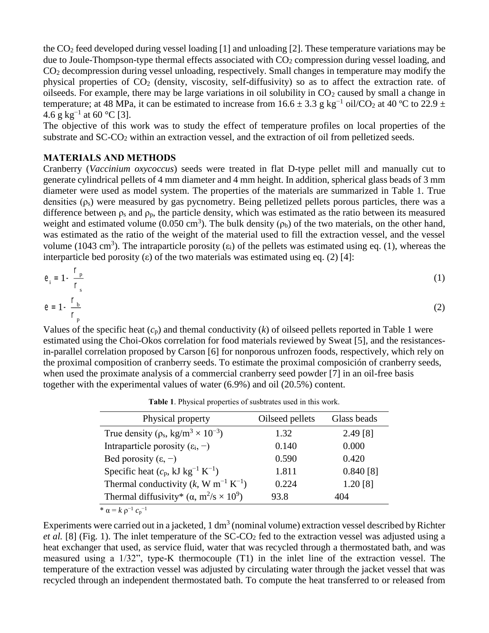the CO<sup>2</sup> feed developed during vessel loading [1] and unloading [2]. These temperature variations may be due to Joule-Thompson-type thermal effects associated with CO<sub>2</sub> compression during vessel loading, and CO<sup>2</sup> decompression during vessel unloading, respectively. Small changes in temperature may modify the physical properties of CO<sup>2</sup> (density, viscosity, self-diffusivity) so as to affect the extraction rate. of oilseeds. For example, there may be large variations in oil solubility in  $CO<sub>2</sub>$  caused by small a change in temperature; at 48 MPa, it can be estimated to increase from  $16.6 \pm 3.3$  g kg<sup>-1</sup> oil/CO<sub>2</sub> at 40 °C to 22.9  $\pm$ 4.6 g kg<sup>-1</sup> at 60 °C [3].

The objective of this work was to study the effect of temperature profiles on local properties of the substrate and SC-CO<sub>2</sub> within an extraction vessel, and the extraction of oil from pelletized seeds.

## **MATERIALS AND METHODS**

Cranberry (*Vaccinium oxycoccus*) seeds were treated in flat D-type pellet mill and manually cut to generate cylindrical pellets of 4 mm diameter and 4 mm height. In addition, spherical glass beads of 3 mm diameter were used as model system. The properties of the materials are summarized in Table 1. True densities  $(\rho_s)$  were measured by gas pycnometry. Being pelletized pellets porous particles, there was a difference between  $\rho_s$  and  $\rho_p$ , the particle density, which was estimated as the ratio between its measured weight and estimated volume (0.050 cm<sup>3</sup>). The bulk density ( $\rho_b$ ) of the two materials, on the other hand, was estimated as the ratio of the weight of the material used to fill the extraction vessel, and the vessel volume (1043 cm<sup>3</sup>). The intraparticle porosity ( $\varepsilon_i$ ) of the pellets was estimated using eq. (1), whereas the interparticle bed porosity (ε) of the two materials was estimated using eq. (2) [4]:

$$
e_i = 1 - \frac{r_p}{r_s} \tag{1}
$$

$$
e = 1 - \frac{1 - b}{r_p} \tag{2}
$$

Values of the specific heat (*c*p) and themal conductivity (*k*) of oilseed pellets reported in Table 1 were estimated using the Choi-Okos correlation for food materials reviewed by Sweat [5], and the resistancesin-parallel correlation proposed by Carson [6] for nonporous unfrozen foods, respectively, which rely on the proximal composition of cranberry seeds. To estimate the proximal composición of cranberry seeds, when used the proximate analysis of a commercial cranberry seed powder [7] in an oil-free basis together with the experimental values of water (6.9%) and oil (20.5%) content.

**Table 1**. Physical properties of susbtrates used in this work.

| Physical property                                                | Oilseed pellets | Glass beads |
|------------------------------------------------------------------|-----------------|-------------|
| True density ( $\rho_s$ , kg/m <sup>3</sup> × 10 <sup>-3</sup> ) | 1.32            | 2.49[8]     |
| Intraparticle porosity $(\epsilon_i, -)$                         | 0.140           | 0.000       |
| Bed porosity $(\epsilon, -)$                                     | 0.590           | 0.420       |
| Specific heat $(c_p, kJ kg^{-1} K^{-1})$                         | 1.811           | $0.840$ [8] |
| Thermal conductivity $(k, W m^{-1} K^{-1})$                      | 0.224           | 1.20 [8]    |
| Thermal diffusivity* $(\alpha, m^2/s \times 10^9)$               | 93.8            | 404         |
| * $\alpha = k \rho^{-1} c_p^{-1}$                                |                 |             |

Experiments were carried out in a jacketed,  $1 \text{ dm}^3$  (nominal volume) extraction vessel described by Richter *et al.* [8] (Fig. 1). The inlet temperature of the SC-CO<sub>2</sub> fed to the extraction vessel was adjusted using a heat exchanger that used, as service fluid, water that was recycled through a thermostated bath, and was measured using a 1/32", type-K thermocouple (T1) in the inlet line of the extraction vessel. The temperature of the extraction vessel was adjusted by circulating water through the jacket vessel that was recycled through an independent thermostated bath. To compute the heat transferred to or released from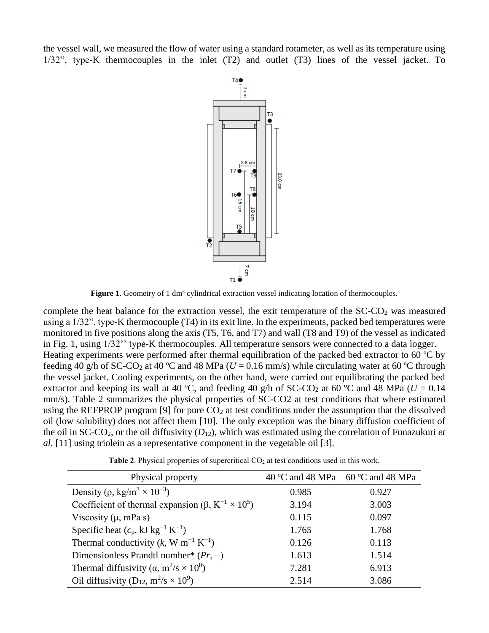the vessel wall, we measured the flow of water using a standard rotameter, as well as its temperature using 1/32", type-K thermocouples in the inlet (T2) and outlet (T3) lines of the vessel jacket. To



**Figure 1**. Geometry of 1 dm<sup>3</sup> cylindrical extraction vessel indicating location of thermocouples.

complete the heat balance for the extraction vessel, the exit temperature of the  $SC\text{-}CO<sub>2</sub>$  was measured using a 1/32", type-K thermocouple (T4) in its exit line. In the experiments, packed bed temperatures were monitored in five positions along the axis (T5, T6, and T7) and wall (T8 and T9) of the vessel as indicated in Fig. 1, using 1/32'' type-K thermocouples. All temperature sensors were connected to a data logger. Heating experiments were performed after thermal equilibration of the packed bed extractor to 60 ºC by feeding 40 g/h of SC-CO<sub>2</sub> at 40 °C and 48 MPa ( $U = 0.16$  mm/s) while circulating water at 60 °C through the vessel jacket. Cooling experiments, on the other hand, were carried out equilibrating the packed bed extractor and keeping its wall at 40 °C, and feeding 40 g/h of SC-CO<sub>2</sub> at 60 °C and 48 MPa ( $U = 0.14$ ) mm/s). Table 2 summarizes the physical properties of SC-CO2 at test conditions that where estimated using the REFPROP program [9] for pure  $CO<sub>2</sub>$  at test conditions under the assumption that the dissolved oil (low solubility) does not affect them [10]. The only exception was the binary diffusion coefficient of the oil in SC-CO2, or the oil diffusivity (*D*12), which was estimated using the correlation of Funazukuri *et al.* [11] using triolein as a representative component in the vegetable oil [3].

| Physical property                                                      | 40 °C and 48 MPa | $60^{\circ}$ C and 48 MPa |  |
|------------------------------------------------------------------------|------------------|---------------------------|--|
| Density ( $\rho$ , kg/m <sup>3</sup> × 10 <sup>-3</sup> )              | 0.985            | 0.927                     |  |
| Coefficient of thermal expansion ( $\beta$ , $K^{-1} \times 10^5$ )    | 3.194            | 3.003                     |  |
| Viscosity $(\mu, mPa s)$                                               | 0.115            | 0.097                     |  |
| Specific heat $(c_p, kJ kg^{-1} K^{-1})$                               | 1.765            | 1.768                     |  |
| Thermal conductivity $(k, W m^{-1} K^{-1})$                            | 0.126            | 0.113                     |  |
| Dimensionless Prandtl number* $(Pr, -)$                                | 1.613            | 1.514                     |  |
| Thermal diffusivity ( $\alpha$ , m <sup>2</sup> /s × 10 <sup>8</sup> ) | 7.281            | 6.913                     |  |
| Oil diffusivity (D <sub>12</sub> , $m^2/s \times 10^9$ )               | 2.514            | 3.086                     |  |

Table 2. Physical properties of supercritical CO<sub>2</sub> at test conditions used in this work.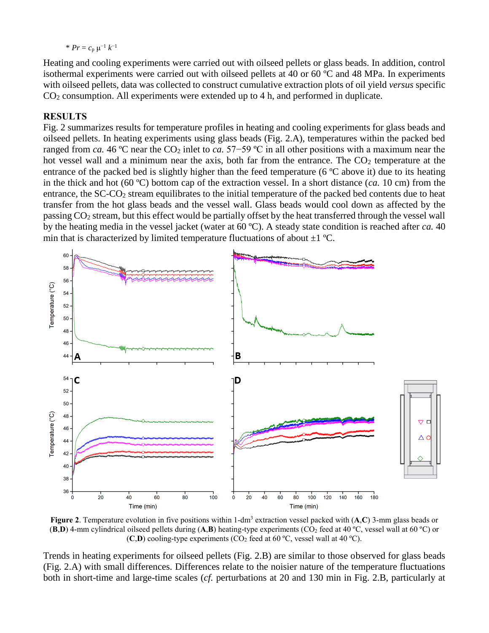\*  $Pr = c_p \mu^{-1} k^{-1}$ 

Heating and cooling experiments were carried out with oilseed pellets or glass beads. In addition, control isothermal experiments were carried out with oilseed pellets at 40 or 60 ºC and 48 MPa. In experiments with oilseed pellets, data was collected to construct cumulative extraction plots of oil yield *versus* specific CO<sup>2</sup> consumption. All experiments were extended up to 4 h, and performed in duplicate.

#### **RESULTS**

Fig. 2 summarizes results for temperature profiles in heating and cooling experiments for glass beads and oilseed pellets. In heating experiments using glass beads (Fig. 2.A), temperatures within the packed bed ranged from *ca*. 46 °C near the CO<sub>2</sub> inlet to *ca*. 57–59 °C in all other positions with a maximum near the hot vessel wall and a minimum near the axis, both far from the entrance. The  $CO<sub>2</sub>$  temperature at the entrance of the packed bed is slightly higher than the feed temperature (6 ºC above it) due to its heating in the thick and hot (60 ºC) bottom cap of the extraction vessel. In a short distance (*ca.* 10 cm) from the entrance, the SC-CO<sub>2</sub> stream equilibrates to the initial temperature of the packed bed contents due to heat transfer from the hot glass beads and the vessel wall. Glass beads would cool down as affected by the passing CO<sup>2</sup> stream, but this effect would be partially offset by the heat transferred through the vessel wall by the heating media in the vessel jacket (water at 60 ºC). A steady state condition is reached after *ca.* 40 min that is characterized by limited temperature fluctuations of about  $\pm 1$  °C.



**Figure 2**. Temperature evolution in five positions within 1-dm<sup>3</sup> extraction vessel packed with (**A**,**C**) 3-mm glass beads or  $({\bf B},{\bf D})$  4-mm cylindrical oilseed pellets during  $({\bf A},{\bf B})$  heating-type experiments  $({\bf C}O_2$  feed at 40 °C, vessel wall at 60 °C) or  $(C,D)$  cooling-type experiments  $(CO_2 \text{ feed at } 60 \text{ °C}, \text{ vessel wall at } 40 \text{ °C}).$ 

Trends in heating experiments for oilseed pellets (Fig. 2.B) are similar to those observed for glass beads (Fig. 2.A) with small differences. Differences relate to the noisier nature of the temperature fluctuations both in short-time and large-time scales (*cf.* perturbations at 20 and 130 min in Fig. 2.B, particularly at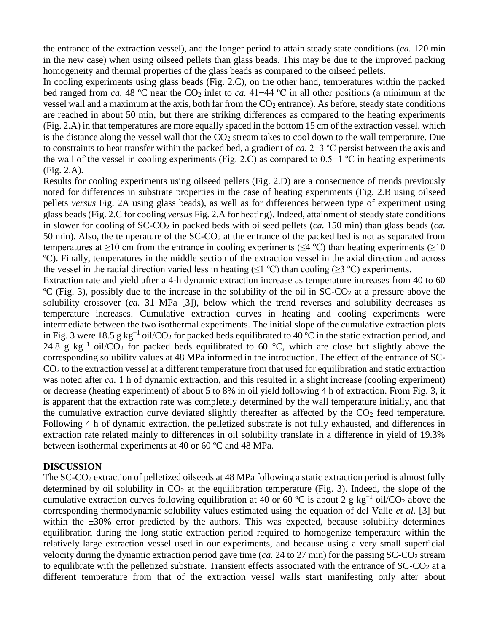the entrance of the extraction vessel), and the longer period to attain steady state conditions (*ca.* 120 min in the new case) when using oilseed pellets than glass beads. This may be due to the improved packing homogeneity and thermal properties of the glass beads as compared to the oilseed pellets.

In cooling experiments using glass beads (Fig. 2.C), on the other hand, temperatures within the packed bed ranged from *ca*. 48 °C near the CO<sub>2</sub> inlet to *ca*. 41−44 °C in all other positions (a minimum at the vessel wall and a maximum at the axis, both far from the  $CO<sub>2</sub>$  entrance). As before, steady state conditions are reached in about 50 min, but there are striking differences as compared to the heating experiments (Fig. 2.A) in that temperatures are more equally spaced in the bottom 15 cm of the extraction vessel, which is the distance along the vessel wall that the  $CO<sub>2</sub>$  stream takes to cool down to the wall temperature. Due to constraints to heat transfer within the packed bed, a gradient of *ca.* 2−3 ºC persist between the axis and the wall of the vessel in cooling experiments (Fig. 2.C) as compared to 0.5−1 ºC in heating experiments (Fig. 2.A).

Results for cooling experiments using oilseed pellets (Fig. 2.D) are a consequence of trends previously noted for differences in substrate properties in the case of heating experiments (Fig. 2.B using oilseed pellets *versus* Fig. 2A using glass beads), as well as for differences between type of experiment using glass beads (Fig. 2.C for cooling *versus* Fig. 2.A for heating). Indeed, attainment of steady state conditions in slower for cooling of SC-CO<sub>2</sub> in packed beds with oilseed pellets (*ca*. 150 min) than glass beads (*ca*. 50 min). Also, the temperature of the  $SC-CO<sub>2</sub>$  at the entrance of the packed bed is not as separated from temperatures at  $\geq$ 10 cm from the entrance in cooling experiments ( $\leq$ 4 °C) than heating experiments ( $\geq$ 10 ºC). Finally, temperatures in the middle section of the extraction vessel in the axial direction and across the vessel in the radial direction varied less in heating ( $\leq$ 1 °C) than cooling ( $\geq$ 3 °C) experiments.

Extraction rate and yield after a 4-h dynamic extraction increase as temperature increases from 40 to 60 <sup>o</sup>C (Fig. 3), possibly due to the increase in the solubility of the oil in  $SC-CO<sub>2</sub>$  at a pressure above the solubility crossover (*ca.* 31 MPa [3]), below which the trend reverses and solubility decreases as temperature increases. Cumulative extraction curves in heating and cooling experiments were intermediate between the two isothermal experiments. The initial slope of the cumulative extraction plots in Fig. 3 were 18.5 g kg<sup>-1</sup> oil/CO<sub>2</sub> for packed beds equilibrated to 40 °C in the static extraction period, and 24.8 g kg<sup>-1</sup> oil/CO<sub>2</sub> for packed beds equilibrated to 60 °C, which are close but slightly above the corresponding solubility values at 48 MPa informed in the introduction. The effect of the entrance of SC-CO<sup>2</sup> to the extraction vessel at a different temperature from that used for equilibration and static extraction was noted after *ca*. 1 h of dynamic extraction, and this resulted in a slight increase (cooling experiment) or decrease (heating experiment) of about 5 to 8% in oil yield following 4 h of extraction. From Fig. 3, it is apparent that the extraction rate was completely determined by the wall temperature initially, and that the cumulative extraction curve deviated slightly thereafter as affected by the  $CO<sub>2</sub>$  feed temperature. Following 4 h of dynamic extraction, the pelletized substrate is not fully exhausted, and differences in extraction rate related mainly to differences in oil solubility translate in a difference in yield of 19.3% between isothermal experiments at 40 or 60 ºC and 48 MPa.

#### **DISCUSSION**

The SC-CO<sup>2</sup> extraction of pelletized oilseeds at 48 MPa following a static extraction period is almost fully determined by oil solubility in  $CO<sub>2</sub>$  at the equilibration temperature (Fig. 3). Indeed, the slope of the cumulative extraction curves following equilibration at 40 or 60 °C is about 2 g kg<sup>-1</sup> oil/CO<sub>2</sub> above the corresponding thermodynamic solubility values estimated using the equation of del Valle *et al.* [3] but within the  $\pm 30\%$  error predicted by the authors. This was expected, because solubility determines equilibration during the long static extraction period required to homogenize temperature within the relatively large extraction vessel used in our experiments, and because using a very small superficial velocity during the dynamic extraction period gave time ( $ca$ , 24 to 27 min) for the passing  $SC\text{-}CO_2$  stream to equilibrate with the pelletized substrate. Transient effects associated with the entrance of  $SC\text{-}CO<sub>2</sub>$  at a different temperature from that of the extraction vessel walls start manifesting only after about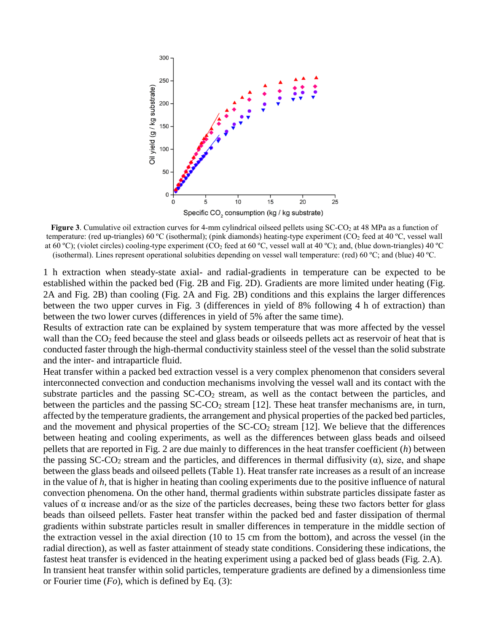

**Figure 3**. Cumulative oil extraction curves for 4-mm cylindrical oilseed pellets using SC-CO<sub>2</sub> at 48 MPa as a function of temperature: (red up-triangles) 60 ºC (isothermal); (pink diamonds) heating-type experiment (CO<sup>2</sup> feed at 40 ºC, vessel wall at 60 °C); (violet circles) cooling-type experiment (CO<sub>2</sub> feed at 60 °C, vessel wall at 40 °C); and, (blue down-triangles) 40 °C (isothermal). Lines represent operational solubities depending on vessel wall temperature: (red) 60 ºC; and (blue) 40 ºC.

1 h extraction when steady-state axial- and radial-gradients in temperature can be expected to be established within the packed bed (Fig. 2B and Fig. 2D). Gradients are more limited under heating (Fig. 2A and Fig. 2B) than cooling (Fig. 2A and Fig. 2B) conditions and this explains the larger differences between the two upper curves in Fig. 3 (differences in yield of 8% following 4 h of extraction) than between the two lower curves (differences in yield of 5% after the same time).

Results of extraction rate can be explained by system temperature that was more affected by the vessel wall than the CO<sub>2</sub> feed because the steel and glass beads or oilseeds pellets act as reservoir of heat that is conducted faster through the high-thermal conductivity stainless steel of the vessel than the solid substrate and the inter- and intraparticle fluid.

Heat transfer within a packed bed extraction vessel is a very complex phenomenon that considers several interconnected convection and conduction mechanisms involving the vessel wall and its contact with the substrate particles and the passing  $SC-CO<sub>2</sub>$  stream, as well as the contact between the particles, and between the particles and the passing  $SC-CO<sub>2</sub>$  stream [12]. These heat transfer mechanisms are, in turn, affected by the temperature gradients, the arrangement and physical properties of the packed bed particles, and the movement and physical properties of the  $SC\text{-}CO_2$  stream [12]. We believe that the differences between heating and cooling experiments, as well as the differences between glass beads and oilseed pellets that are reported in Fig. 2 are due mainly to differences in the heat transfer coefficient (*h*) between the passing  $SC-CO<sub>2</sub>$  stream and the particles, and differences in thermal diffusivity ( $\alpha$ ), size, and shape between the glass beads and oilseed pellets (Table 1). Heat transfer rate increases as a result of an increase in the value of *h*, that is higher in heating than cooling experiments due to the positive influence of natural convection phenomena. On the other hand, thermal gradients within substrate particles dissipate faster as values of α increase and/or as the size of the particles decreases, being these two factors better for glass beads than oilseed pellets. Faster heat transfer within the packed bed and faster dissipation of thermal gradients within substrate particles result in smaller differences in temperature in the middle section of the extraction vessel in the axial direction (10 to 15 cm from the bottom), and across the vessel (in the radial direction), as well as faster attainment of steady state conditions. Considering these indications, the fastest heat transfer is evidenced in the heating experiment using a packed bed of glass beads (Fig. 2.A). In transient heat transfer within solid particles, temperature gradients are defined by a dimensionless time or Fourier time (*Fo*), which is defined by Eq. (3):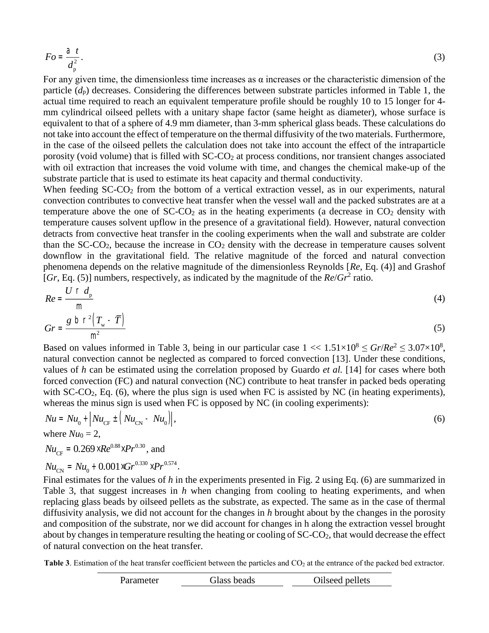$$
Fo = \frac{a}{d_p^2}.
$$
 (3)

For any given time, the dimensionless time increases as  $\alpha$  increases or the characteristic dimension of the particle  $(d_p)$  decreases. Considering the differences between substrate particles informed in Table 1, the actual time required to reach an equivalent temperature profile should be roughly 10 to 15 longer for 4 mm cylindrical oilseed pellets with a unitary shape factor (same height as diameter), whose surface is equivalent to that of a sphere of 4.9 mm diameter, than 3-mm spherical glass beads. These calculations do not take into account the effect of temperature on the thermal diffusivity of the two materials. Furthermore, in the case of the oilseed pellets the calculation does not take into account the effect of the intraparticle porosity (void volume) that is filled with SC-CO<sub>2</sub> at process conditions, nor transient changes associated with oil extraction that increases the void volume with time, and changes the chemical make-up of the substrate particle that is used to estimate its heat capacity and thermal conductivity.

When feeding SC-CO<sub>2</sub> from the bottom of a vertical extraction vessel, as in our experiments, natural convection contributes to convective heat transfer when the vessel wall and the packed substrates are at a temperature above the one of  $SC-CO<sub>2</sub>$  as in the heating experiments (a decrease in  $CO<sub>2</sub>$  density with temperature causes solvent upflow in the presence of a gravitational field). However, natural convection detracts from convective heat transfer in the cooling experiments when the wall and substrate are colder than the  $SC-CO<sub>2</sub>$ , because the increase in  $CO<sub>2</sub>$  density with the decrease in temperature causes solvent downflow in the gravitational field. The relative magnitude of the forced and natural convection phenomena depends on the relative magnitude of the dimensionless Reynolds [*Re*, Eq. (4)] and Grashof [ $Gr$ , Eq. (5)] numbers, respectively, as indicated by the magnitude of the  $Re/Gr^2$  ratio.

$$
Re = \frac{U \cap d_{\rm p}}{\rm m} \tag{4}
$$

$$
Gr = \frac{g \ b \ r^2 \left( T_w - \overline{T} \right)}{m^2} \tag{5}
$$

Based on values informed in Table 3, being in our particular case  $1 \ll 1.51 \times 10^8 \leq Gr/Re^2 \leq 3.07 \times 10^8$ , natural convection cannot be neglected as compared to forced convection [13]. Under these conditions, values of *h* can be estimated using the correlation proposed by Guardo *et al.* [14] for cases where both forced convection (FC) and natural convection (NC) contribute to heat transfer in packed beds operating with  $SC-CO<sub>2</sub>$ , Eq. (6), where the plus sign is used when FC is assisted by NC (in heating experiments), whereas the minus sign is used when FC is opposed by NC (in cooling experiments):

$$
Nu = Nu_{0} + \left| Nu_{CF} \pm \left( Nu_{CN} - Nu_{0} \right) \right|,
$$
\n(6)

where  $Nu_0 = 2$ ,

 $Nu_{CF} = 0.269 \times Re^{0.88} \times Pr^{0.30}$ , and

$$
Nu_{\rm CN} = Nu_{0} + 0.001 \times Gr^{0.330} \times Pr^{0.574}.
$$

Final estimates for the values of *h* in the experiments presented in Fig. 2 using Eq. (6) are summarized in Table 3, that suggest increases in *h* when changing from cooling to heating experiments, and when replacing glass beads by oilseed pellets as the substrate, as expected. The same as in the case of thermal diffusivity analysis, we did not account for the changes in *h* brought about by the changes in the porosity and composition of the substrate, nor we did account for changes in h along the extraction vessel brought about by changes in temperature resulting the heating or cooling of  $SC-CO<sub>2</sub>$ , that would decrease the effect of natural convection on the heat transfer.

**Table 3**. Estimation of the heat transfer coefficient between the particles and CO<sub>2</sub> at the entrance of the packed bed extractor.

| Parameter | Glass beads | Oilseed pellets |
|-----------|-------------|-----------------|
|           |             |                 |